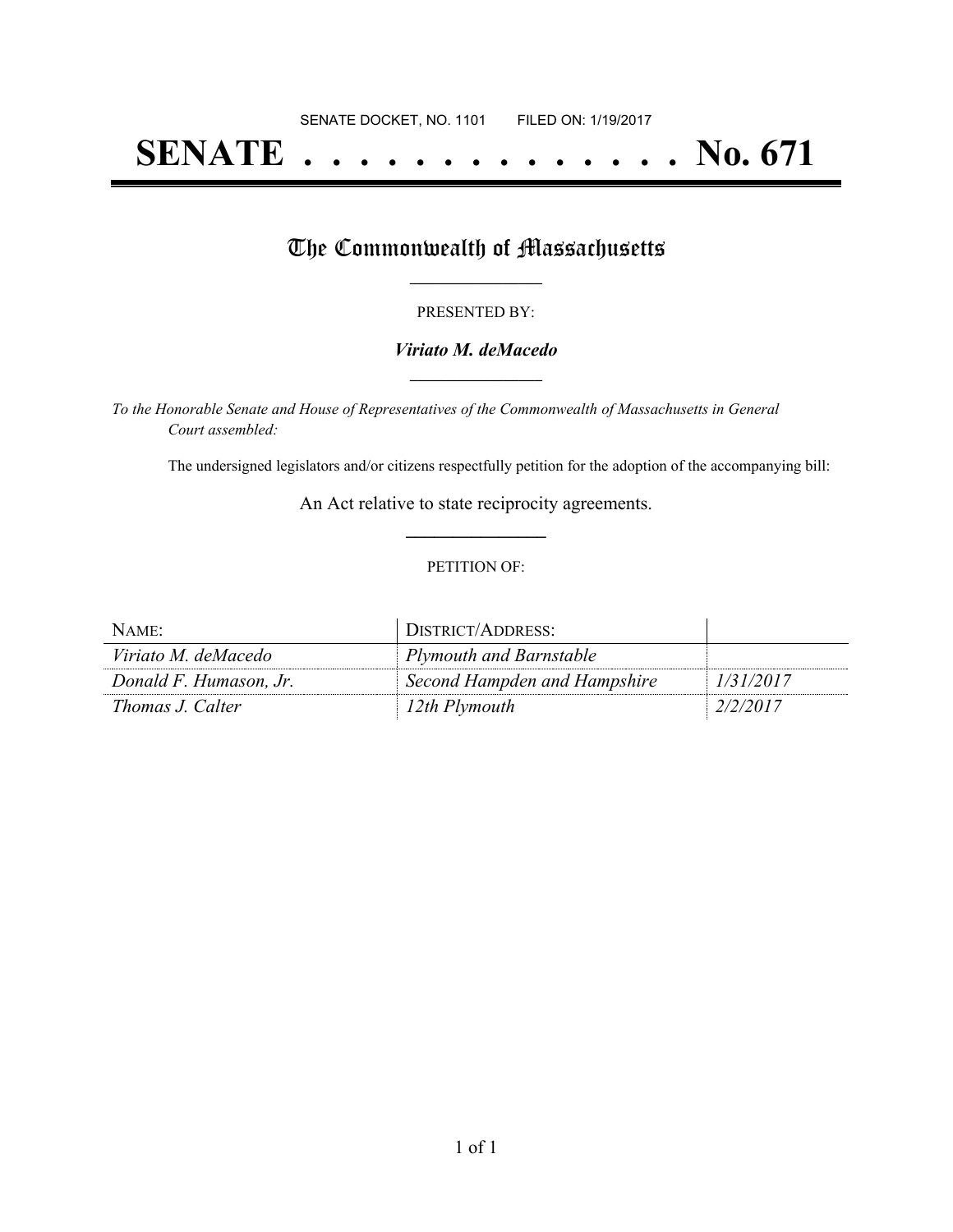# **SENATE . . . . . . . . . . . . . . No. 671**

## The Commonwealth of Massachusetts

#### PRESENTED BY:

#### *Viriato M. deMacedo* **\_\_\_\_\_\_\_\_\_\_\_\_\_\_\_\_\_**

*To the Honorable Senate and House of Representatives of the Commonwealth of Massachusetts in General Court assembled:*

The undersigned legislators and/or citizens respectfully petition for the adoption of the accompanying bill:

An Act relative to state reciprocity agreements. **\_\_\_\_\_\_\_\_\_\_\_\_\_\_\_**

#### PETITION OF:

| NAME:                  | DISTRICT/ADDRESS:            |           |
|------------------------|------------------------------|-----------|
| Viriato M. deMacedo    | Plymouth and Barnstable      |           |
| Donald F. Humason, Jr. | Second Hampden and Hampshire | 1/31/2017 |
| Thomas J. Calter       | 12th Plymouth                | 2/2/2017  |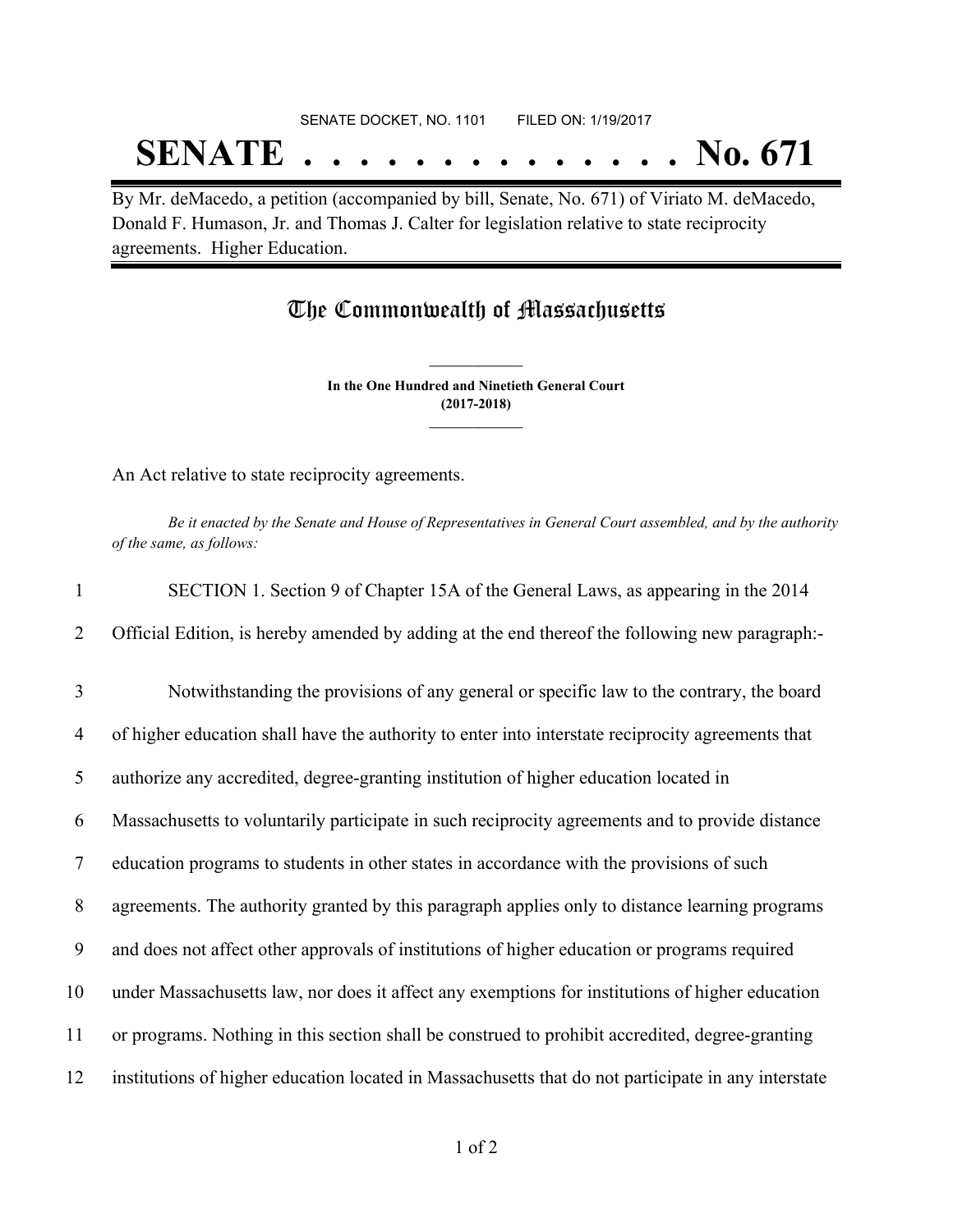# SENATE DOCKET, NO. 1101 FILED ON: 1/19/2017 **SENATE . . . . . . . . . . . . . . No. 671**

By Mr. deMacedo, a petition (accompanied by bill, Senate, No. 671) of Viriato M. deMacedo, Donald F. Humason, Jr. and Thomas J. Calter for legislation relative to state reciprocity agreements. Higher Education.

### The Commonwealth of Massachusetts

**In the One Hundred and Ninetieth General Court (2017-2018) \_\_\_\_\_\_\_\_\_\_\_\_\_\_\_**

**\_\_\_\_\_\_\_\_\_\_\_\_\_\_\_**

An Act relative to state reciprocity agreements.

Be it enacted by the Senate and House of Representatives in General Court assembled, and by the authority *of the same, as follows:*

| $\mathbf{1}$   | SECTION 1. Section 9 of Chapter 15A of the General Laws, as appearing in the 2014                   |
|----------------|-----------------------------------------------------------------------------------------------------|
| 2              | Official Edition, is hereby amended by adding at the end thereof the following new paragraph:-      |
| 3              | Notwithstanding the provisions of any general or specific law to the contrary, the board            |
| $\overline{4}$ | of higher education shall have the authority to enter into interstate reciprocity agreements that   |
| 5              | authorize any accredited, degree-granting institution of higher education located in                |
| 6              | Massachusetts to voluntarily participate in such reciprocity agreements and to provide distance     |
| $\overline{7}$ | education programs to students in other states in accordance with the provisions of such            |
| 8              | agreements. The authority granted by this paragraph applies only to distance learning programs      |
| 9              | and does not affect other approvals of institutions of higher education or programs required        |
| 10             | under Massachusetts law, nor does it affect any exemptions for institutions of higher education     |
| 11             | or programs. Nothing in this section shall be construed to prohibit accredited, degree-granting     |
| 12             | institutions of higher education located in Massachusetts that do not participate in any interstate |